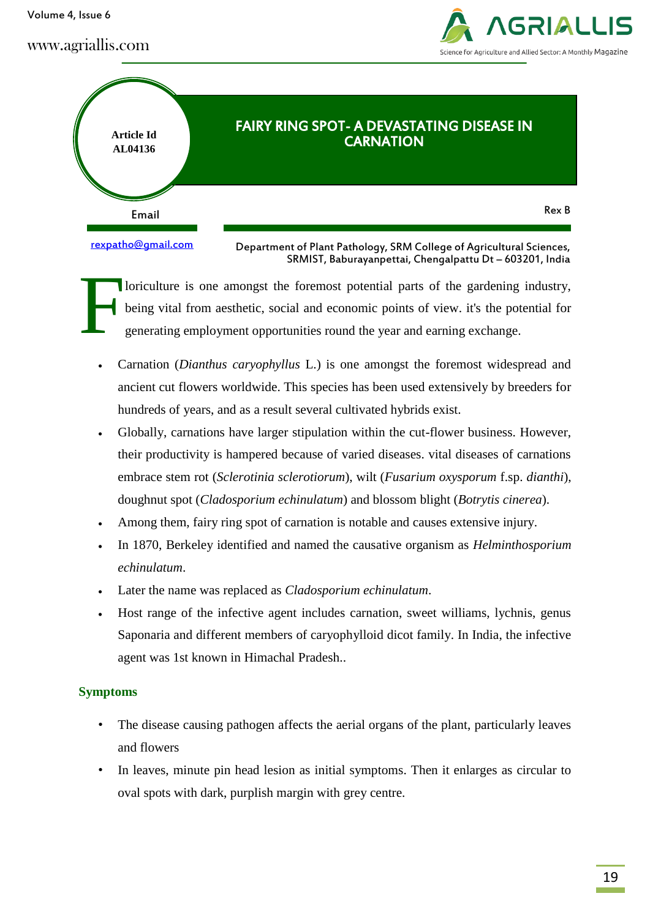Volume 4, Issue 6





loriculture is one amongst the foremost potential parts of the gardening industry, being vital from aesthetic, social and economic points of view. it's the potential for generating employment opportunities round the year and earning exchange. F

- Carnation (*Dianthus caryophyllus* L.) is one amongst the foremost widespread and ancient cut flowers worldwide. This species has been used extensively by breeders for hundreds of years, and as a result several cultivated hybrids exist.
- Globally, carnations have larger stipulation within the cut-flower business. However, their productivity is hampered because of varied diseases. vital diseases of carnations embrace stem rot (*Sclerotinia sclerotiorum*), wilt (*Fusarium oxysporum* f.sp. *dianthi*), doughnut spot (*Cladosporium echinulatum*) and blossom blight (*Botrytis cinerea*).
- Among them, fairy ring spot of carnation is notable and causes extensive injury.
- In 1870, Berkeley identified and named the causative organism as *Helminthosporium echinulatum*.
- Later the name was replaced as *Cladosporium echinulatum*.
- Host range of the infective agent includes carnation, sweet williams, lychnis, genus Saponaria and different members of caryophylloid dicot family. In India, the infective agent was 1st known in Himachal Pradesh..

#### **Symptoms**

- The disease causing pathogen affects the aerial organs of the plant, particularly leaves and flowers
- In leaves, minute pin head lesion as initial symptoms. Then it enlarges as circular to oval spots with dark, purplish margin with grey centre.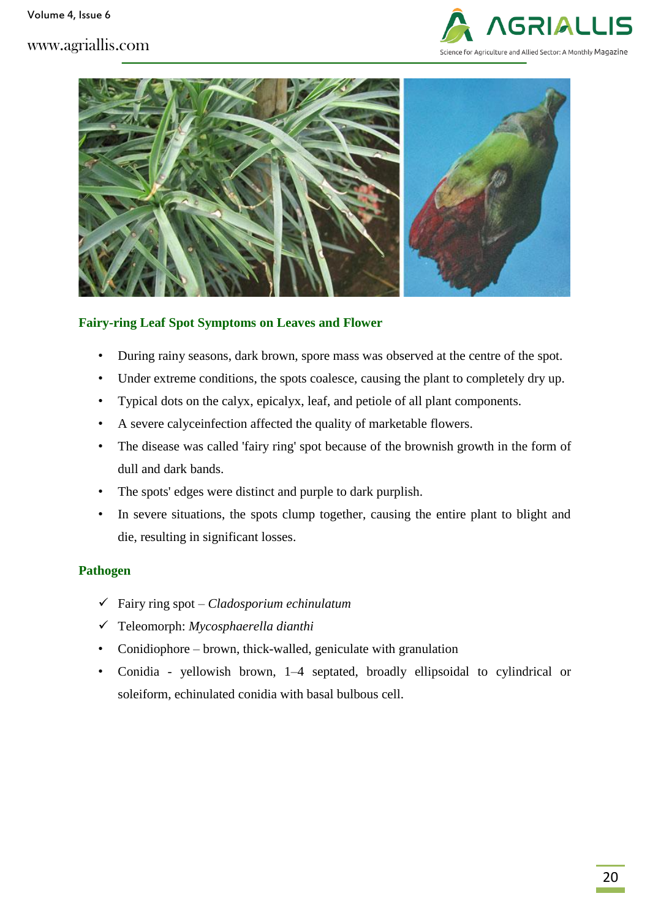



### **Fairy-ring Leaf Spot Symptoms on Leaves and Flower**

- During rainy seasons, dark brown, spore mass was observed at the centre of the spot.
- Under extreme conditions, the spots coalesce, causing the plant to completely dry up.
- Typical dots on the calyx, epicalyx, leaf, and petiole of all plant components.
- A severe calyceinfection affected the quality of marketable flowers.
- The disease was called 'fairy ring' spot because of the brownish growth in the form of dull and dark bands.
- The spots' edges were distinct and purple to dark purplish.
- In severe situations, the spots clump together, causing the entire plant to blight and die, resulting in significant losses.

#### **Pathogen**

- Fairy ring spot *Cladosporium echinulatum*
- Teleomorph: *Mycosphaerella dianthi*
- Conidiophore brown, thick-walled, geniculate with granulation
- Conidia yellowish brown, 1–4 septated, broadly ellipsoidal to cylindrical or soleiform, echinulated conidia with basal bulbous cell.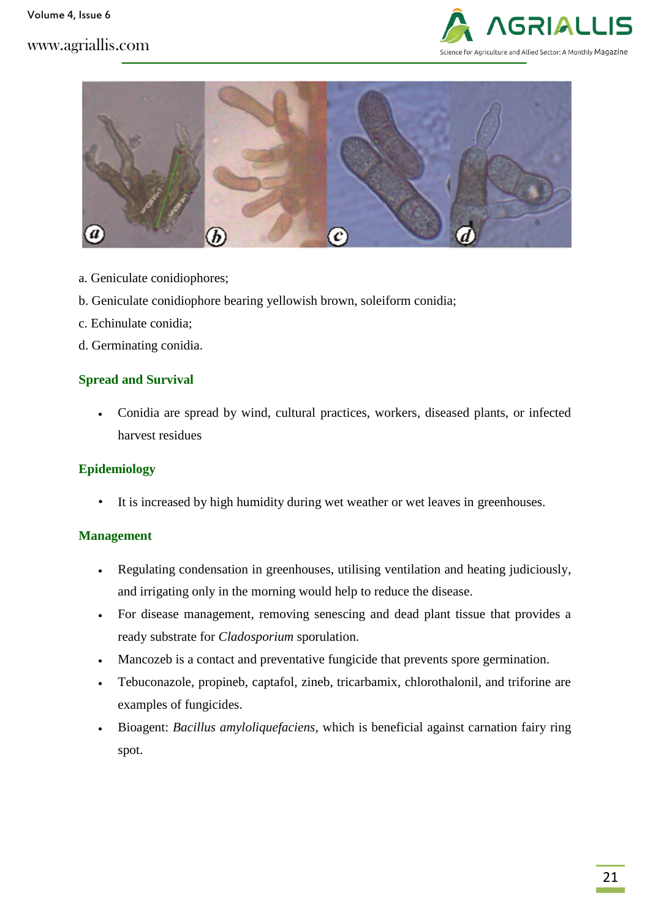



- a. Geniculate conidiophores;
- b. Geniculate conidiophore bearing yellowish brown, soleiform conidia;
- c. Echinulate conidia;
- d. Germinating conidia.

#### **Spread and Survival**

 Conidia are spread by wind, cultural practices, workers, diseased plants, or infected harvest residues

#### **Epidemiology**

• It is increased by high humidity during wet weather or wet leaves in greenhouses.

#### **Management**

- Regulating condensation in greenhouses, utilising ventilation and heating judiciously, and irrigating only in the morning would help to reduce the disease.
- For disease management, removing senescing and dead plant tissue that provides a ready substrate for *Cladosporium* sporulation.
- Mancozeb is a contact and preventative fungicide that prevents spore germination.
- Tebuconazole, propineb, captafol, zineb, tricarbamix, chlorothalonil, and triforine are examples of fungicides.
- Bioagent: *Bacillus amyloliquefaciens*, which is beneficial against carnation fairy ring spot.